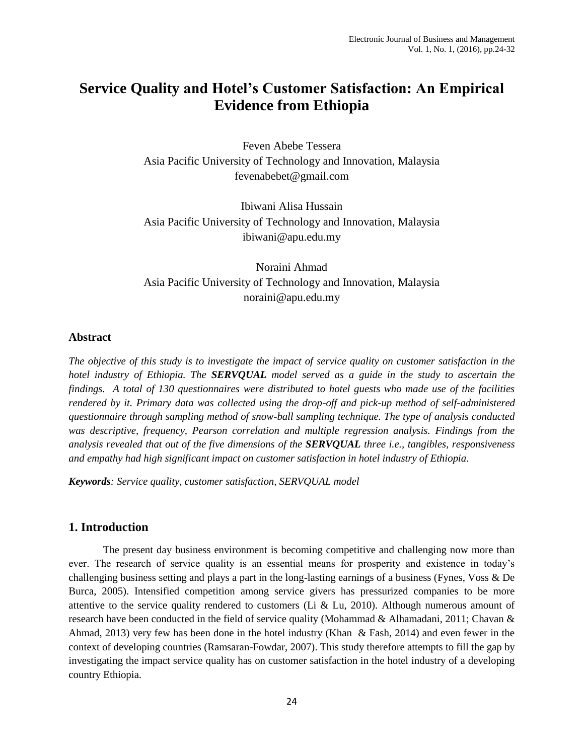# **Service Quality and Hotel's Customer Satisfaction: An Empirical Evidence from Ethiopia**

Feven Abebe Tessera Asia Pacific University of Technology and Innovation, Malaysia fevenabebet@gmail.com

Ibiwani Alisa Hussain Asia Pacific University of Technology and Innovation, Malaysia [ibiwani@apu.edu.my](mailto:ibiwani@apu.edu.my)

Noraini Ahmad Asia Pacific University of Technology and Innovation, Malaysia noraini@apu.edu.my

## **Abstract**

*The objective of this study is to investigate the impact of service quality on customer satisfaction in the hotel industry of Ethiopia. The SERVQUAL model served as a guide in the study to ascertain the findings. A total of 130 questionnaires were distributed to hotel guests who made use of the facilities rendered by it. Primary data was collected using the drop-off and pick-up method of self-administered questionnaire through sampling method of snow-ball sampling technique. The type of analysis conducted was descriptive, frequency, Pearson correlation and multiple regression analysis. Findings from the analysis revealed that out of the five dimensions of the SERVQUAL three i.e., tangibles, responsiveness and empathy had high significant impact on customer satisfaction in hotel industry of Ethiopia.* 

*Keywords: Service quality, customer satisfaction, SERVQUAL model* 

## **1. Introduction**

The present day business environment is becoming competitive and challenging now more than ever. The research of service quality is an essential means for prosperity and existence in today's challenging business setting and plays a part in the long-lasting earnings of a business (Fynes, Voss & De Burca, 2005). Intensified competition among service givers has pressurized companies to be more attentive to the service quality rendered to customers (Li & Lu, 2010). Although numerous amount of research have been conducted in the field of service quality (Mohammad & Alhamadani, 2011; Chavan & Ahmad, 2013) very few has been done in the hotel industry (Khan & Fash, 2014) and even fewer in the context of developing countries (Ramsaran-Fowdar, 2007). This study therefore attempts to fill the gap by investigating the impact service quality has on customer satisfaction in the hotel industry of a developing country Ethiopia.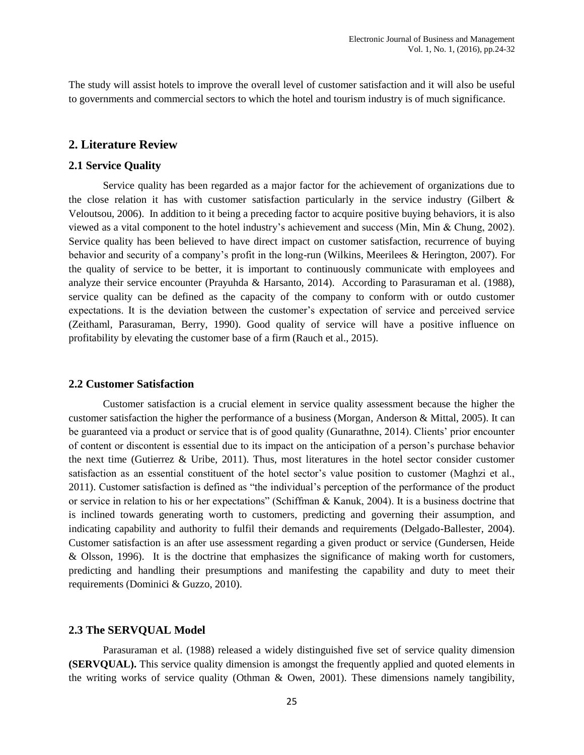The study will assist hotels to improve the overall level of customer satisfaction and it will also be useful to governments and commercial sectors to which the hotel and tourism industry is of much significance.

### **2. Literature Review**

#### **2.1 Service Quality**

Service quality has been regarded as a major factor for the achievement of organizations due to the close relation it has with customer satisfaction particularly in the service industry (Gilbert & Veloutsou, 2006). In addition to it being a preceding factor to acquire positive buying behaviors, it is also viewed as a vital component to the hotel industry's achievement and success (Min, Min & Chung, 2002). Service quality has been believed to have direct impact on customer satisfaction, recurrence of buying behavior and security of a company's profit in the long-run (Wilkins, Meerilees & Herington, 2007). For the quality of service to be better, it is important to continuously communicate with employees and analyze their service encounter (Prayuhda & Harsanto, 2014). According to Parasuraman et al. (1988), service quality can be defined as the capacity of the company to conform with or outdo customer expectations. It is the deviation between the customer's expectation of service and perceived service (Zeithaml, Parasuraman, Berry, 1990). Good quality of service will have a positive influence on profitability by elevating the customer base of a firm (Rauch et al., 2015).

#### **2.2 Customer Satisfaction**

Customer satisfaction is a crucial element in service quality assessment because the higher the customer satisfaction the higher the performance of a business (Morgan, Anderson & Mittal, 2005). It can be guaranteed via a product or service that is of good quality (Gunarathne, 2014). Clients' prior encounter of content or discontent is essential due to its impact on the anticipation of a person's purchase behavior the next time (Gutierrez & Uribe, 2011). Thus, most literatures in the hotel sector consider customer satisfaction as an essential constituent of the hotel sector's value position to customer (Maghzi et al., 2011). Customer satisfaction is defined as "the individual's perception of the performance of the product or service in relation to his or her expectations" (Schiffman & Kanuk, 2004). It is a business doctrine that is inclined towards generating worth to customers, predicting and governing their assumption, and indicating capability and authority to fulfil their demands and requirements (Delgado-Ballester, 2004). Customer satisfaction is an after use assessment regarding a given product or service (Gundersen, Heide & Olsson, 1996). It is the doctrine that emphasizes the significance of making worth for customers, predicting and handling their presumptions and manifesting the capability and duty to meet their requirements (Dominici & Guzzo, 2010).

#### **2.3 The SERVQUAL Model**

Parasuraman et al. (1988) released a widely distinguished five set of service quality dimension **(SERVQUAL).** This service quality dimension is amongst the frequently applied and quoted elements in the writing works of service quality (Othman & Owen, 2001). These dimensions namely tangibility,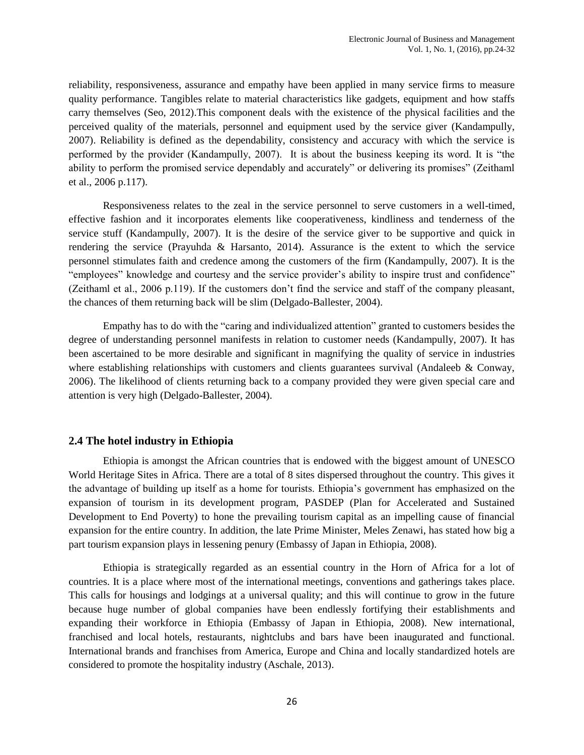reliability, responsiveness, assurance and empathy have been applied in many service firms to measure quality performance. Tangibles relate to material characteristics like gadgets, equipment and how staffs carry themselves (Seo, 2012).This component deals with the existence of the physical facilities and the perceived quality of the materials, personnel and equipment used by the service giver (Kandampully, 2007). Reliability is defined as the dependability, consistency and accuracy with which the service is performed by the provider (Kandampully, 2007). It is about the business keeping its word. It is "the ability to perform the promised service dependably and accurately" or delivering its promises" (Zeithaml et al., 2006 p.117).

Responsiveness relates to the zeal in the service personnel to serve customers in a well-timed, effective fashion and it incorporates elements like cooperativeness, kindliness and tenderness of the service stuff (Kandampully, 2007). It is the desire of the service giver to be supportive and quick in rendering the service (Prayuhda & Harsanto, 2014). Assurance is the extent to which the service personnel stimulates faith and credence among the customers of the firm (Kandampully, 2007). It is the "employees" knowledge and courtesy and the service provider's ability to inspire trust and confidence" (Zeithaml et al., 2006 p.119). If the customers don't find the service and staff of the company pleasant, the chances of them returning back will be slim (Delgado-Ballester, 2004).

Empathy has to do with the "caring and individualized attention" granted to customers besides the degree of understanding personnel manifests in relation to customer needs (Kandampully, 2007). It has been ascertained to be more desirable and significant in magnifying the quality of service in industries where establishing relationships with customers and clients guarantees survival (Andaleeb  $\&$  Conway, 2006). The likelihood of clients returning back to a company provided they were given special care and attention is very high (Delgado-Ballester, 2004).

### **2.4 The hotel industry in Ethiopia**

Ethiopia is amongst the African countries that is endowed with the biggest amount of UNESCO World Heritage Sites in Africa. There are a total of 8 sites dispersed throughout the country. This gives it the advantage of building up itself as a home for tourists. Ethiopia's government has emphasized on the expansion of tourism in its development program, PASDEP (Plan for Accelerated and Sustained Development to End Poverty) to hone the prevailing tourism capital as an impelling cause of financial expansion for the entire country. In addition, the late Prime Minister, Meles Zenawi, has stated how big a part tourism expansion plays in lessening penury (Embassy of Japan in Ethiopia, 2008).

Ethiopia is strategically regarded as an essential country in the Horn of Africa for a lot of countries. It is a place where most of the international meetings, conventions and gatherings takes place. This calls for housings and lodgings at a universal quality; and this will continue to grow in the future because huge number of global companies have been endlessly fortifying their establishments and expanding their workforce in Ethiopia (Embassy of Japan in Ethiopia, 2008). New international, franchised and local hotels, restaurants, nightclubs and bars have been inaugurated and functional. International brands and franchises from America, Europe and China and locally standardized hotels are considered to promote the hospitality industry (Aschale, 2013).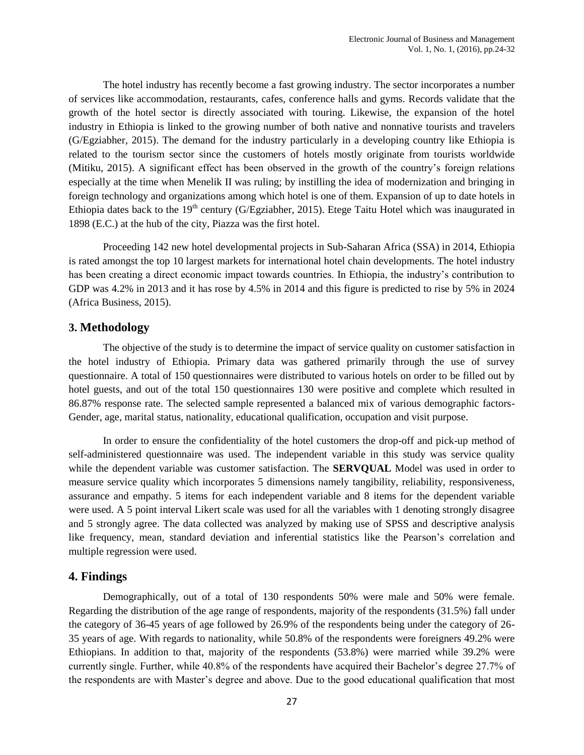The hotel industry has recently become a fast growing industry. The sector incorporates a number of services like accommodation, restaurants, cafes, conference halls and gyms. Records validate that the growth of the hotel sector is directly associated with touring. Likewise, the expansion of the hotel industry in Ethiopia is linked to the growing number of both native and nonnative tourists and travelers (G/Egziabher, 2015). The demand for the industry particularly in a developing country like Ethiopia is related to the tourism sector since the customers of hotels mostly originate from tourists worldwide (Mitiku, 2015). A significant effect has been observed in the growth of the country's foreign relations especially at the time when Menelik II was ruling; by instilling the idea of modernization and bringing in foreign technology and organizations among which hotel is one of them. Expansion of up to date hotels in Ethiopia dates back to the  $19<sup>th</sup>$  century (G/Egziabher, 2015). Etege Taitu Hotel which was inaugurated in 1898 (E.C.) at the hub of the city, Piazza was the first hotel.

Proceeding 142 new hotel developmental projects in Sub-Saharan Africa (SSA) in 2014, Ethiopia is rated amongst the top 10 largest markets for international hotel chain developments. The hotel industry has been creating a direct economic impact towards countries. In Ethiopia, the industry's contribution to GDP was 4.2% in 2013 and it has rose by 4.5% in 2014 and this figure is predicted to rise by 5% in 2024 (Africa Business, 2015).

# **3. Methodology**

The objective of the study is to determine the impact of service quality on customer satisfaction in the hotel industry of Ethiopia. Primary data was gathered primarily through the use of survey questionnaire. A total of 150 questionnaires were distributed to various hotels on order to be filled out by hotel guests, and out of the total 150 questionnaires 130 were positive and complete which resulted in 86.87% response rate. The selected sample represented a balanced mix of various demographic factors-Gender, age, marital status, nationality, educational qualification, occupation and visit purpose.

In order to ensure the confidentiality of the hotel customers the drop-off and pick-up method of self-administered questionnaire was used. The independent variable in this study was service quality while the dependent variable was customer satisfaction. The **SERVQUAL** Model was used in order to measure service quality which incorporates 5 dimensions namely tangibility, reliability, responsiveness, assurance and empathy. 5 items for each independent variable and 8 items for the dependent variable were used. A 5 point interval Likert scale was used for all the variables with 1 denoting strongly disagree and 5 strongly agree. The data collected was analyzed by making use of SPSS and descriptive analysis like frequency, mean, standard deviation and inferential statistics like the Pearson's correlation and multiple regression were used.

## **4. Findings**

Demographically, out of a total of 130 respondents 50% were male and 50% were female. Regarding the distribution of the age range of respondents, majority of the respondents (31.5%) fall under the category of 36-45 years of age followed by 26.9% of the respondents being under the category of 26- 35 years of age. With regards to nationality, while 50.8% of the respondents were foreigners 49.2% were Ethiopians. In addition to that, majority of the respondents (53.8%) were married while 39.2% were currently single. Further, while 40.8% of the respondents have acquired their Bachelor's degree 27.7% of the respondents are with Master's degree and above. Due to the good educational qualification that most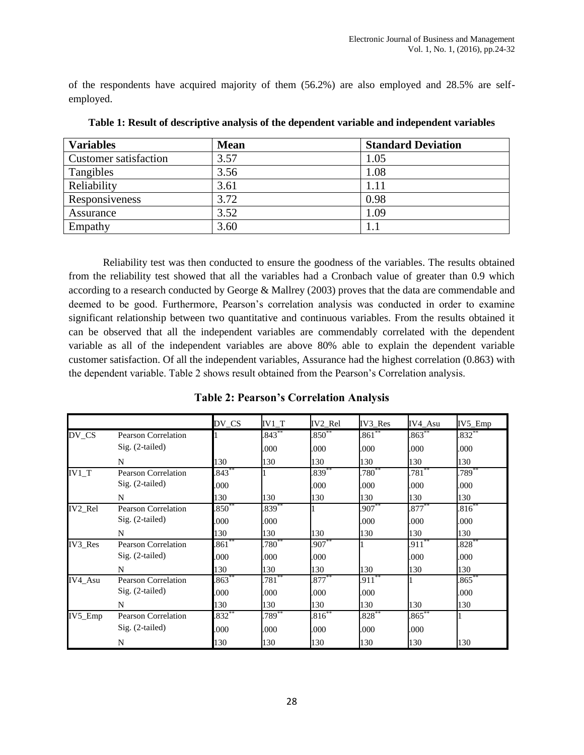of the respondents have acquired majority of them (56.2%) are also employed and 28.5% are selfemployed.

| <b>Variables</b>      | <b>Mean</b> | <b>Standard Deviation</b> |
|-----------------------|-------------|---------------------------|
| Customer satisfaction | 3.57        | 1.05                      |
| Tangibles             | 3.56        | 1.08                      |
| Reliability           | 3.61        | 1.11                      |
| Responsiveness        | 3.72        | 0.98                      |
| Assurance             | 3.52        | 1.09                      |
| Empathy               | 3.60        |                           |

**Table 1: Result of descriptive analysis of the dependent variable and independent variables**

Reliability test was then conducted to ensure the goodness of the variables. The results obtained from the reliability test showed that all the variables had a Cronbach value of greater than 0.9 which according to a research conducted by George & Mallrey (2003) proves that the data are commendable and deemed to be good. Furthermore, Pearson's correlation analysis was conducted in order to examine significant relationship between two quantitative and continuous variables. From the results obtained it can be observed that all the independent variables are commendably correlated with the dependent variable as all of the independent variables are above 80% able to explain the dependent variable customer satisfaction. Of all the independent variables, Assurance had the highest correlation (0.863) with the dependent variable. Table 2 shows result obtained from the Pearson's Correlation analysis.

**Table 2: Pearson's Correlation Analysis**

|         |                            | DV_CS       | $IV1_T$     | IV2_Rel    | IV3_Res           | IV4_Asu   | IV5_Emp     |
|---------|----------------------------|-------------|-------------|------------|-------------------|-----------|-------------|
| DV_CS   | <b>Pearson Correlation</b> |             | $.843***$   | $.850^{*}$ | $.861$ $^{\circ}$ | $.863**$  | $.832^{**}$ |
|         | $Sig. (2-tailed)$          |             | .000        | .000       | .000              | .000      | .000        |
|         | N                          | 130         | 130         | 130        | 130               | 130       | 130         |
| $IV1_T$ | <b>Pearson Correlation</b> | $.843***$   |             | $.839***$  | $.780^{**}$       | $.781***$ | $.789^{**}$ |
|         | $Sig. (2-tailed)$          | .000        |             | .000       | .000              | .000      | .000        |
|         | N                          | 130         | 130         | 130        | 130               | 130       | 130         |
| IV2 Rel | Pearson Correlation        | $.850**$    | $.839***$   |            | $.907^{**}$       | $.877***$ | $.816***$   |
|         | Sig. (2-tailed)            | .000        | .000        |            | .000              | .000      | .000        |
|         | N                          | 130         | 130         | 130        | 130               | 130       | 130         |
| IV3 Res | <b>Pearson Correlation</b> | $.861^{**}$ | $.780^{**}$ | $.907***$  |                   | $.911***$ | $.828^{**}$ |
|         | $Sig. (2-tailed)$          | .000        | .000        | .000       |                   | .000      | .000        |
|         | N                          | 130         | 130         | 130        | 130               | 130       | 130         |
| IV4 Asu | <b>Pearson Correlation</b> | $.863***$   | $.781***$   | $.877***$  | $.911***$         |           | .865        |
|         | $Sig. (2-tailed)$          | .000        | .000        | .000       | .000              |           | .000        |
|         | N                          | 130         | 130         | 130        | 130               | 130       | 130         |
| IV5_Emp | <b>Pearson Correlation</b> | $.832***$   | $.789***$   | $.816**$   | $.828***$         | $.865***$ |             |
|         | $Sig. (2-tailed)$          | .000        | .000        | .000       | .000              | .000      |             |
|         | N                          | 130         | 130         | 130        | 130               | 130       | 130         |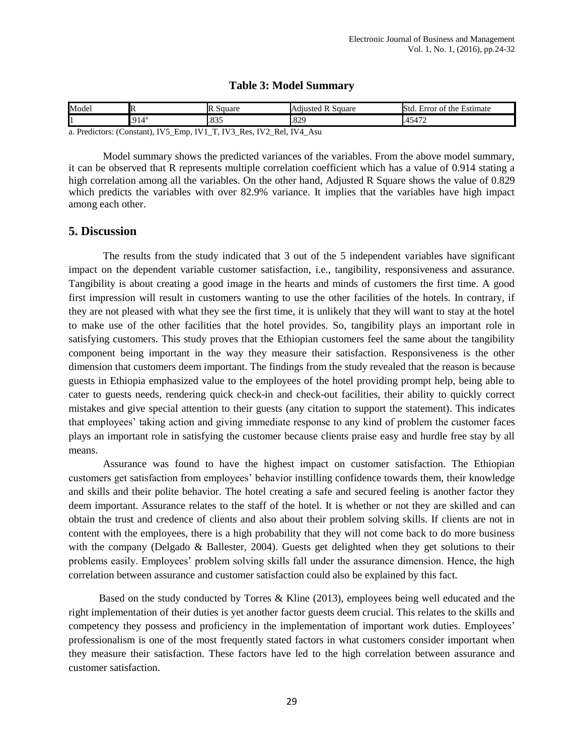| Model                        | . .                               | IF<br><b>S</b> quare                                          | Square<br>Adjusted R | <b>Sta</b><br>Estimate<br>tror<br>the<br>O1     |
|------------------------------|-----------------------------------|---------------------------------------------------------------|----------------------|-------------------------------------------------|
|                              | $Q14^a$<br>- 17                   | 025<br>LOJJ                                                   | 820<br>.045          | 472<br>$\overline{\phantom{0}}$<br>ЭA.<br>- 777 |
| $\cdots$<br>$\sim$<br>$\sim$ | $\overline{\phantom{0}}$<br>$  -$ | $\cdots$ $\cdots$ $\cdots$ $\cdots$<br><b>TTTA TAILY TTTI</b> |                      |                                                 |

a. Predictors: (Constant), IV5\_Emp, IV1\_T, IV3\_Res, IV2\_Rel, IV4\_Asu

Model summary shows the predicted variances of the variables. From the above model summary, it can be observed that R represents multiple correlation coefficient which has a value of 0.914 stating a high correlation among all the variables. On the other hand, Adjusted R Square shows the value of 0.829 which predicts the variables with over 82.9% variance. It implies that the variables have high impact among each other.

## **5. Discussion**

The results from the study indicated that 3 out of the 5 independent variables have significant impact on the dependent variable customer satisfaction, i.e., tangibility, responsiveness and assurance. Tangibility is about creating a good image in the hearts and minds of customers the first time. A good first impression will result in customers wanting to use the other facilities of the hotels. In contrary, if they are not pleased with what they see the first time, it is unlikely that they will want to stay at the hotel to make use of the other facilities that the hotel provides. So, tangibility plays an important role in satisfying customers. This study proves that the Ethiopian customers feel the same about the tangibility component being important in the way they measure their satisfaction. Responsiveness is the other dimension that customers deem important. The findings from the study revealed that the reason is because guests in Ethiopia emphasized value to the employees of the hotel providing prompt help, being able to cater to guests needs, rendering quick check-in and check-out facilities, their ability to quickly correct mistakes and give special attention to their guests (any citation to support the statement). This indicates that employees' taking action and giving immediate response to any kind of problem the customer faces plays an important role in satisfying the customer because clients praise easy and hurdle free stay by all means.

Assurance was found to have the highest impact on customer satisfaction. The Ethiopian customers get satisfaction from employees' behavior instilling confidence towards them, their knowledge and skills and their polite behavior. The hotel creating a safe and secured feeling is another factor they deem important. Assurance relates to the staff of the hotel. It is whether or not they are skilled and can obtain the trust and credence of clients and also about their problem solving skills. If clients are not in content with the employees, there is a high probability that they will not come back to do more business with the company (Delgado & Ballester, 2004). Guests get delighted when they get solutions to their problems easily. Employees' problem solving skills fall under the assurance dimension. Hence, the high correlation between assurance and customer satisfaction could also be explained by this fact.

 Based on the study conducted by Torres & Kline (2013), employees being well educated and the right implementation of their duties is yet another factor guests deem crucial. This relates to the skills and competency they possess and proficiency in the implementation of important work duties. Employees' professionalism is one of the most frequently stated factors in what customers consider important when they measure their satisfaction. These factors have led to the high correlation between assurance and customer satisfaction.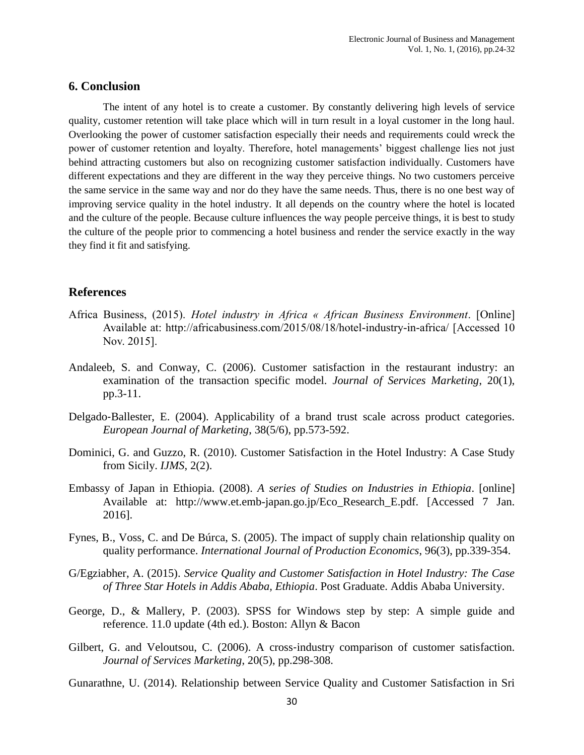## **6. Conclusion**

The intent of any hotel is to create a customer. By constantly delivering high levels of service quality, customer retention will take place which will in turn result in a loyal customer in the long haul. Overlooking the power of customer satisfaction especially their needs and requirements could wreck the power of customer retention and loyalty. Therefore, hotel managements' biggest challenge lies not just behind attracting customers but also on recognizing customer satisfaction individually. Customers have different expectations and they are different in the way they perceive things. No two customers perceive the same service in the same way and nor do they have the same needs. Thus, there is no one best way of improving service quality in the hotel industry. It all depends on the country where the hotel is located and the culture of the people. Because culture influences the way people perceive things, it is best to study the culture of the people prior to commencing a hotel business and render the service exactly in the way they find it fit and satisfying.

### **References**

- Africa Business, (2015). *Hotel industry in Africa « African Business Environment*. [Online] Available at: http://africabusiness.com/2015/08/18/hotel-industry-in-africa/ [Accessed 10 Nov. 2015].
- Andaleeb, S. and Conway, C. (2006). Customer satisfaction in the restaurant industry: an examination of the transaction specific model. *Journal of Services Marketing*, 20(1), pp.3-11.
- Delgado‐Ballester, E. (2004). Applicability of a brand trust scale across product categories. *European Journal of Marketing*, 38(5/6), pp.573-592.
- Dominici, G. and Guzzo, R. (2010). Customer Satisfaction in the Hotel Industry: A Case Study from Sicily. *IJMS*, 2(2).
- Embassy of Japan in Ethiopia. (2008). *A series of Studies on Industries in Ethiopia*. [online] Available at: http://www.et.emb-japan.go.jp/Eco\_Research\_E.pdf. [Accessed 7 Jan. 2016].
- Fynes, B., Voss, C. and De Búrca, S. (2005). The impact of supply chain relationship quality on quality performance. *International Journal of Production Economics*, 96(3), pp.339-354.
- G/Egziabher, A. (2015). *Service Quality and Customer Satisfaction in Hotel Industry: The Case of Three Star Hotels in Addis Ababa, Ethiopia*. Post Graduate. Addis Ababa University.
- George, D., & Mallery, P. (2003). SPSS for Windows step by step: A simple guide and reference. 11.0 update (4th ed.). Boston: Allyn & Bacon
- Gilbert, G. and Veloutsou, C. (2006). A cross-industry comparison of customer satisfaction. *Journal of Services Marketing*, 20(5), pp.298-308.

Gunarathne, U. (2014). Relationship between Service Quality and Customer Satisfaction in Sri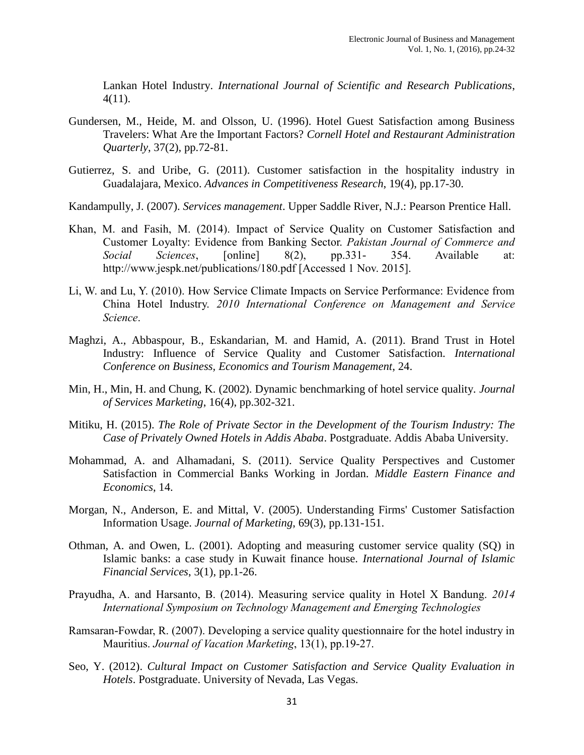Lankan Hotel Industry. *International Journal of Scientific and Research Publications*, 4(11).

- Gundersen, M., Heide, M. and Olsson, U. (1996). Hotel Guest Satisfaction among Business Travelers: What Are the Important Factors? *Cornell Hotel and Restaurant Administration Quarterly*, 37(2), pp.72-81.
- Gutierrez, S. and Uribe, G. (2011). Customer satisfaction in the hospitality industry in Guadalajara, Mexico. *Advances in Competitiveness Research*, 19(4), pp.17-30.
- Kandampully, J. (2007). *Services management*. Upper Saddle River, N.J.: Pearson Prentice Hall.
- Khan, M. and Fasih, M. (2014). Impact of Service Quality on Customer Satisfaction and Customer Loyalty: Evidence from Banking Sector. *Pakistan Journal of Commerce and Social Sciences*, [online] 8(2), pp.331- 354. Available at: http://www.jespk.net/publications/180.pdf [Accessed 1 Nov. 2015].
- Li, W. and Lu, Y. (2010). How Service Climate Impacts on Service Performance: Evidence from China Hotel Industry. *2010 International Conference on Management and Service Science*.
- Maghzi, A., Abbaspour, B., Eskandarian, M. and Hamid, A. (2011). Brand Trust in Hotel Industry: Influence of Service Quality and Customer Satisfaction. *International Conference on Business, Economics and Tourism Management*, 24.
- Min, H., Min, H. and Chung, K. (2002). Dynamic benchmarking of hotel service quality. *Journal of Services Marketing*, 16(4), pp.302-321.
- Mitiku, H. (2015). *The Role of Private Sector in the Development of the Tourism Industry: The Case of Privately Owned Hotels in Addis Ababa*. Postgraduate. Addis Ababa University.
- Mohammad, A. and Alhamadani, S. (2011). Service Quality Perspectives and Customer Satisfaction in Commercial Banks Working in Jordan. *Middle Eastern Finance and Economics*, 14.
- Morgan, N., Anderson, E. and Mittal, V. (2005). Understanding Firms' Customer Satisfaction Information Usage. *Journal of Marketing*, 69(3), pp.131-151.
- Othman, A. and Owen, L. (2001). Adopting and measuring customer service quality (SQ) in Islamic banks: a case study in Kuwait finance house. *International Journal of Islamic Financial Services*, 3(1), pp.1-26.
- Prayudha, A. and Harsanto, B. (2014). Measuring service quality in Hotel X Bandung. *2014 International Symposium on Technology Management and Emerging Technologies*
- Ramsaran-Fowdar, R. (2007). Developing a service quality questionnaire for the hotel industry in Mauritius. *Journal of Vacation Marketing*, 13(1), pp.19-27.
- Seo, Y. (2012). *Cultural Impact on Customer Satisfaction and Service Quality Evaluation in Hotels*. Postgraduate. University of Nevada, Las Vegas.